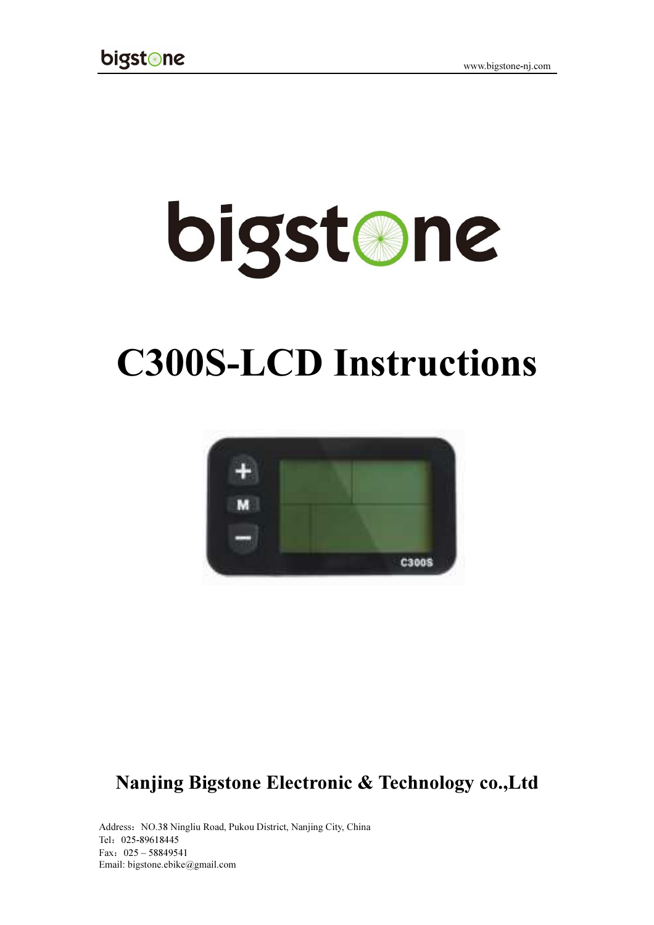# **bigstane**

## C300S-LCD Instructions



### Nanjing Bigstone Electronic & Technology co.,Ltd

Address: NO.38 Ningliu Road, Pukou District, Nanjing City, China Tel:025-89618445 Fax:025 – 58849541 Email: bigstone.ebike@gmail.com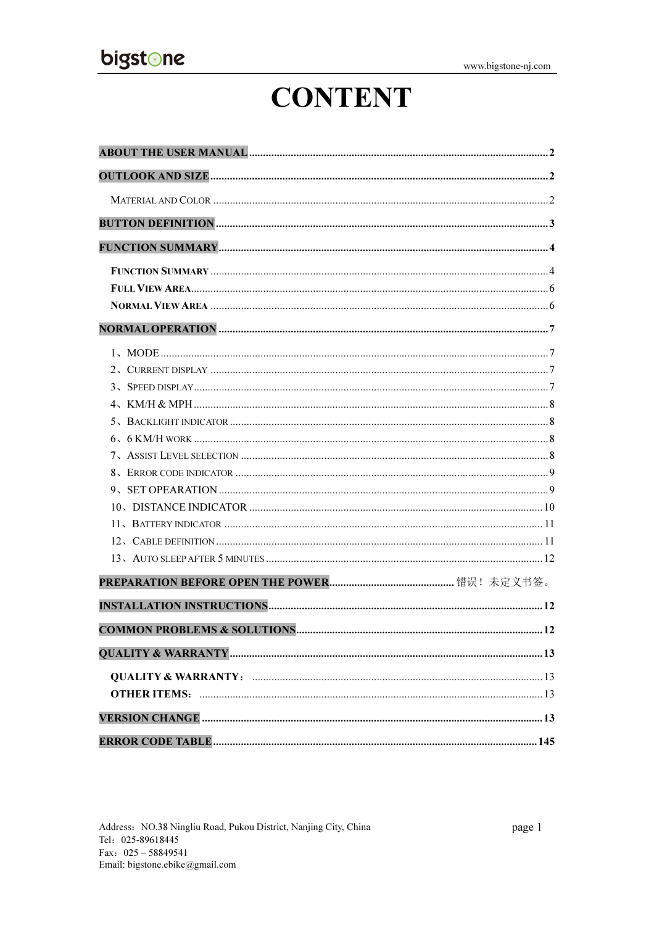## **CONTENT**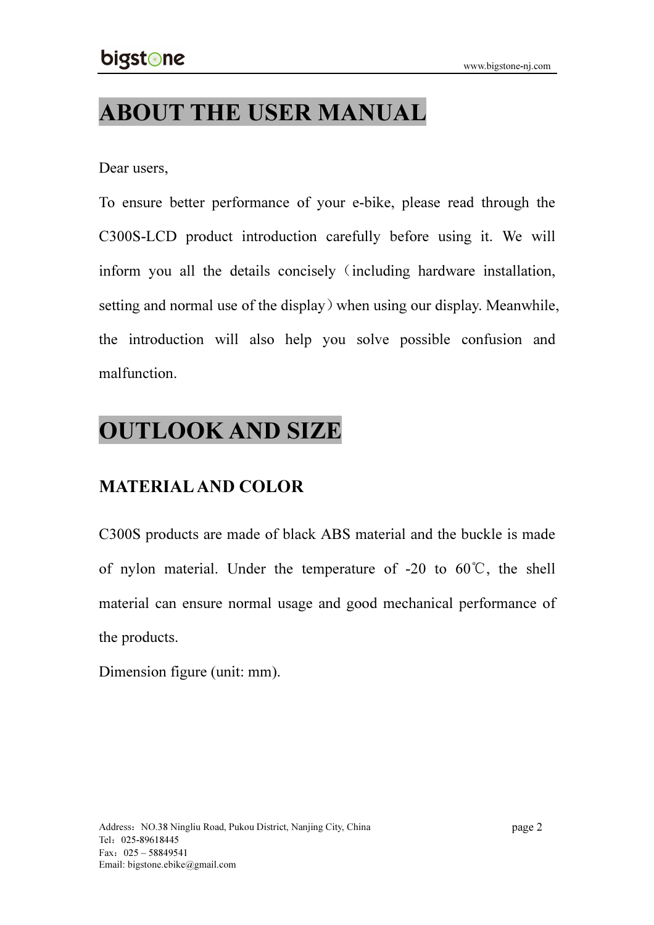## ABOUT THE USER MANUAL

#### Dear users,

To ensure better performance of your e-bike, please read through the C300S-LCD product introduction carefully before using it. We will inform you all the details concisely (including hardware installation, setting and normal use of the display) when using our display. Meanwhile, the introduction will also help you solve possible confusion and malfunction.

## OUTLOOK AND SIZE

#### MATERIAL AND COLOR

C300S products are made of black ABS material and the buckle is made of nylon material. Under the temperature of -20 to  $60^{\circ}$ C, the shell material can ensure normal usage and good mechanical performance of the products.

Dimension figure (unit: mm).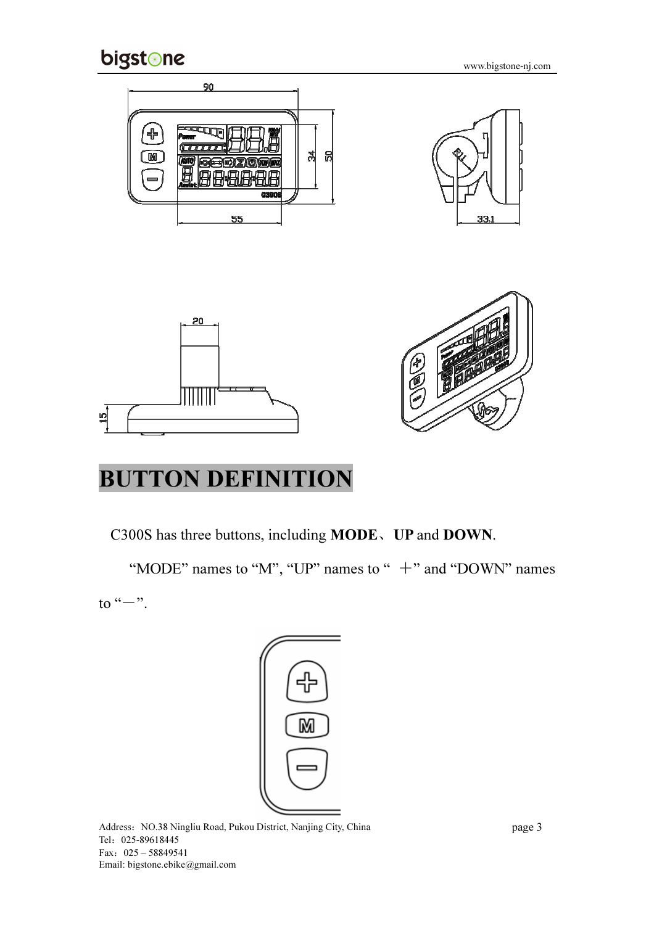

www.bigstone-nj.com



## BUTTON DEFINITION

C300S has three buttons, including MODE、UP and DOWN.

"MODE" names to "M", "UP" names to " $+$ " and "DOWN" names to " $-$ ".



Address: NO.38 Ningliu Road, Pukou District, Nanjing City, China Tel:025-89618445 Fax:025 – 58849541 Email: bigstone.ebike@gmail.com

page 3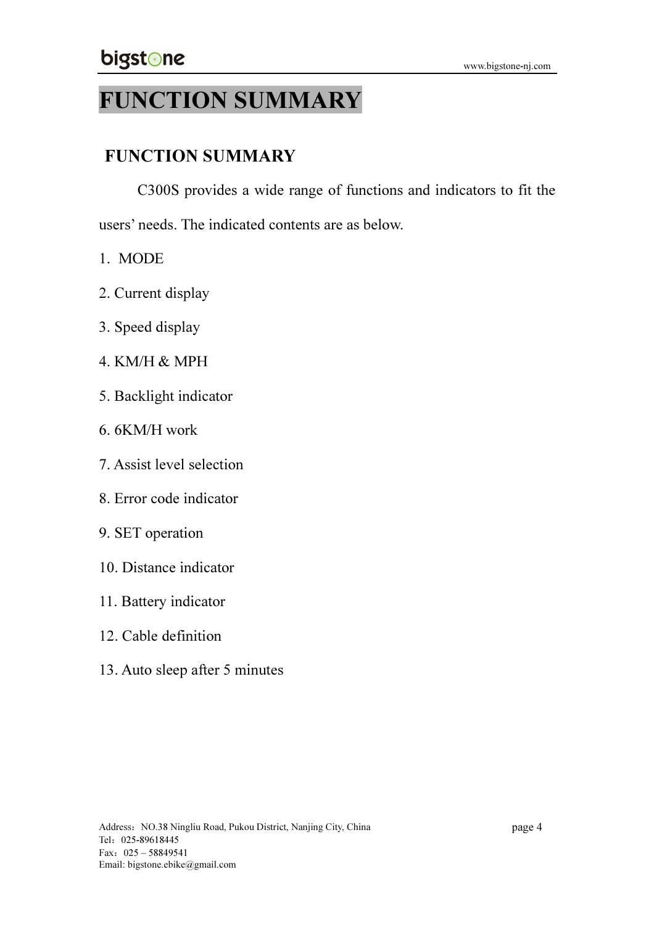## FUNCTION SUMMARY

#### FUNCTION SUMMARY

C300S provides a wide range of functions and indicators to fit the

users' needs. The indicated contents are as below.

- 1. MODE
- 2. Current display
- 3. Speed display
- 4. KM/H & MPH
- 5. Backlight indicator
- 6. 6KM/H work
- 7. Assist level selection
- 8. Error code indicator
- 9. SET operation
- 10. Distance indicator
- 11. Battery indicator
- 12. Cable definition
- 13. Auto sleep after 5 minutes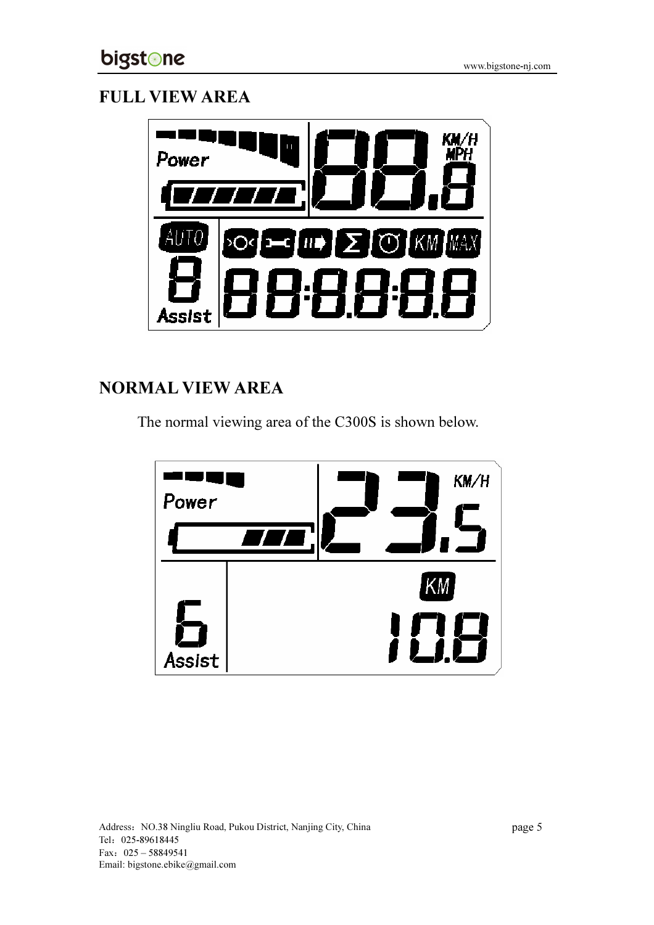#### FULL VIEW AREA



#### NORMAL VIEW AREA

The normal viewing area of the C300S is shown below.

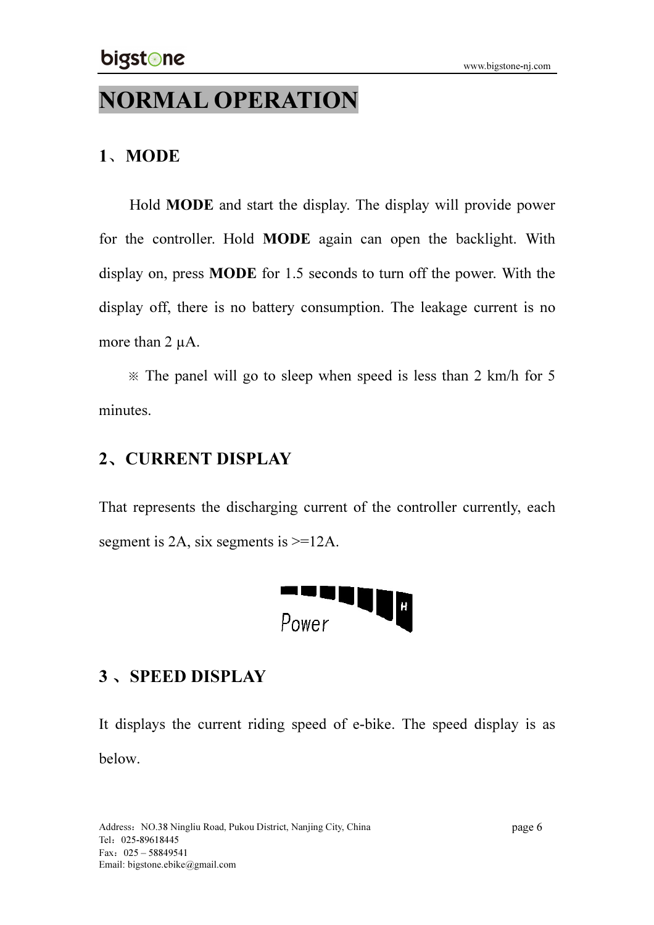## NORMAL OPERATION

#### 1、MODE

Hold MODE and start the display. The display will provide power for the controller. Hold MODE again can open the backlight. With display on, press MODE for 1.5 seconds to turn off the power. With the display off, there is no battery consumption. The leakage current is no more than 2  $\mu$ A.

※ The panel will go to sleep when speed is less than 2 km/h for 5 minutes.

#### 2、CURRENT DISPLAY

That represents the discharging current of the controller currently, each segment is 2A, six segments is  $>=12A$ .



#### 3、SPEED DISPLAY

It displays the current riding speed of e-bike. The speed display is as below.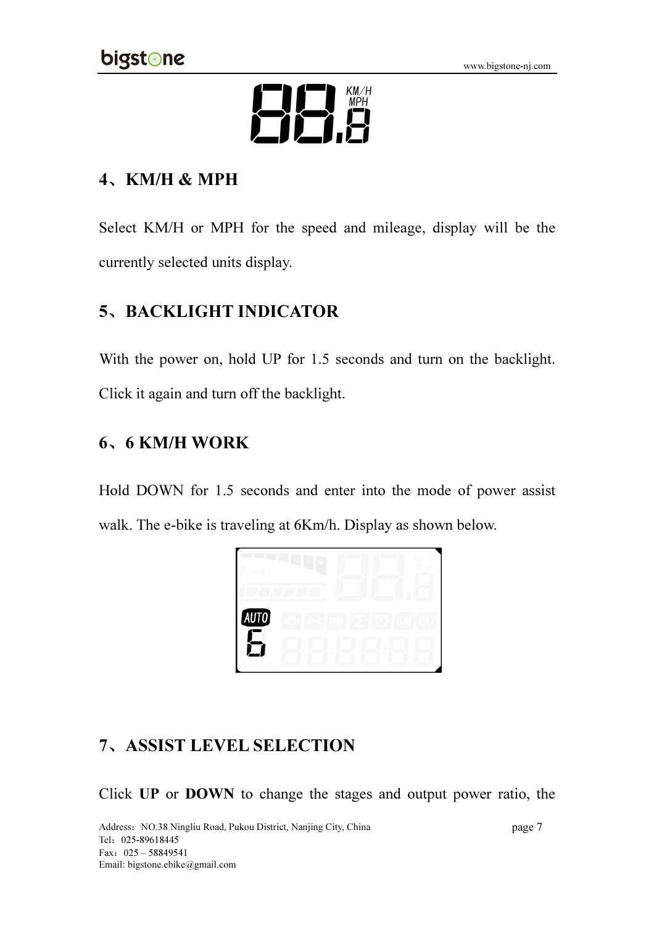

#### 4、KM/H & MPH

Select KM/H or MPH for the speed and mileage, display will be the currently selected units display.

#### 5、BACKLIGHT INDICATOR

With the power on, hold UP for 1.5 seconds and turn on the backlight. Click it again and turn off the backlight.

#### 6 6 KM/H WORK 、

Hold DOWN for 1.5 seconds and enter into the mode of power assist walk. The e-bike is traveling at 6Km/h. Display as shown below.



#### 7、ASSIST LEVEL SELECTION

Click UP or DOWN to change the stages and output power ratio, the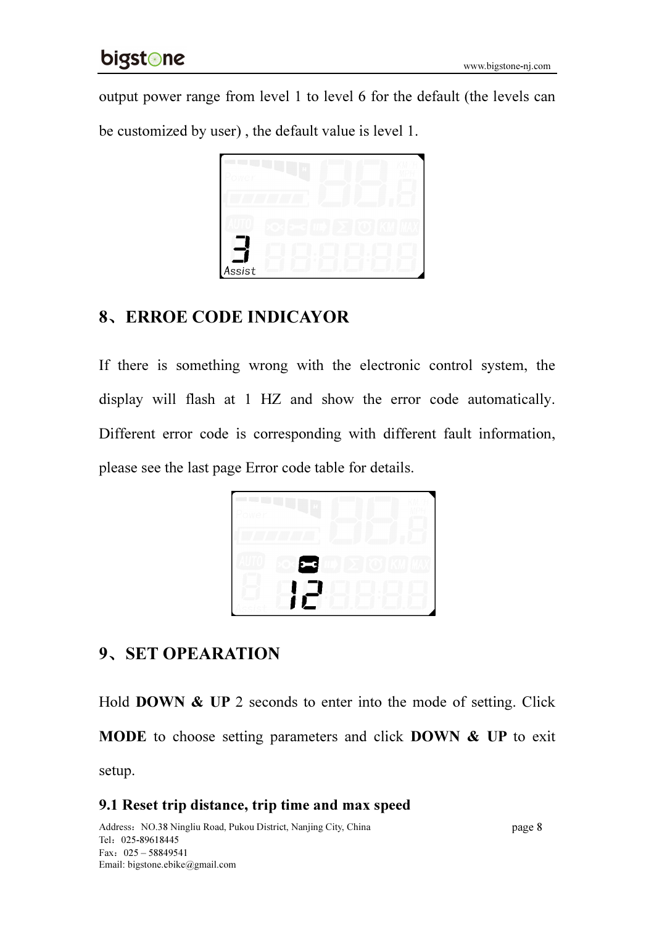output power range from level 1 to level 6 for the default (the levels can

be customized by user) , the default value is level 1.



#### 8、ERROE CODE INDICAYOR

If there is something wrong with the electronic control system, the display will flash at 1 HZ and show the error code automatically. Different error code is corresponding with different fault information, please see the last page Error code table for details.



#### 9、SET OPEARATION

Hold **DOWN & UP** 2 seconds to enter into the mode of setting. Click MODE to choose setting parameters and click DOWN & UP to exit setup.

#### 9.1 Reset trip distance, trip time and max speed

Address: NO.38 Ningliu Road, Pukou District, Nanjing City, China Tel:025-89618445 Fax:025 – 58849541 Email: bigstone.ebike@gmail.com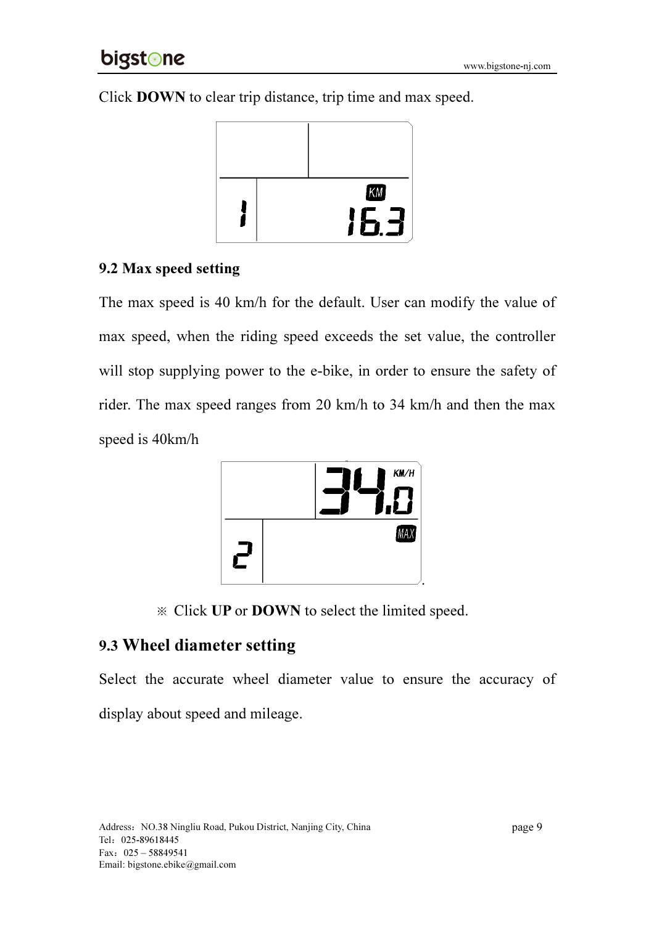Click DOWN to clear trip distance, trip time and max speed.



#### 9.2 Max speed setting

The max speed is 40 km/h for the default. User can modify the value of max speed, when the riding speed exceeds the set value, the controller will stop supplying power to the e-bike, in order to ensure the safety of rider. The max speed ranges from 20 km/h to 34 km/h and then the max speed is 40km/h



※ Click UP or DOWN to select the limited speed.

#### 9.3 Wheel diameter setting

Select the accurate wheel diameter value to ensure the accuracy of display about speed and mileage.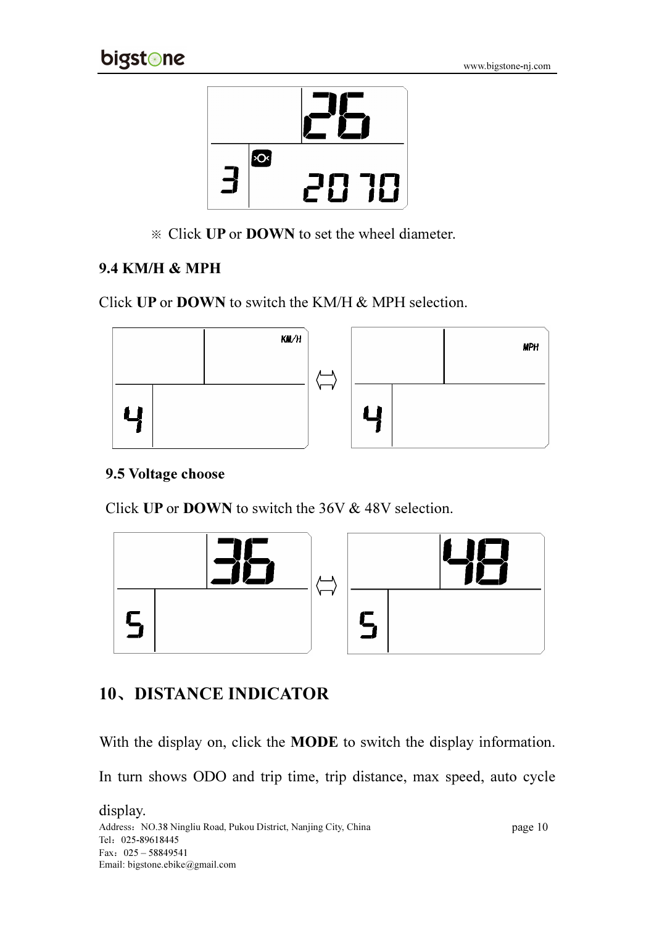

※ Click UP or DOWN to set the wheel diameter.

#### 9.4 KM/H & MPH

Click UP or DOWN to switch the KM/H & MPH selection.



#### 9.5 Voltage choose

Click UP or DOWN to switch the 36V & 48V selection.



#### 10、DISTANCE INDICATOR

With the display on, click the **MODE** to switch the display information.

In turn shows ODO and trip time, trip distance, max speed, auto cycle

Address: NO.38 Ningliu Road, Pukou District, Nanjing City, China Tel:025-89618445 Fax:025 – 58849541 Email: bigstone.ebike@gmail.com display.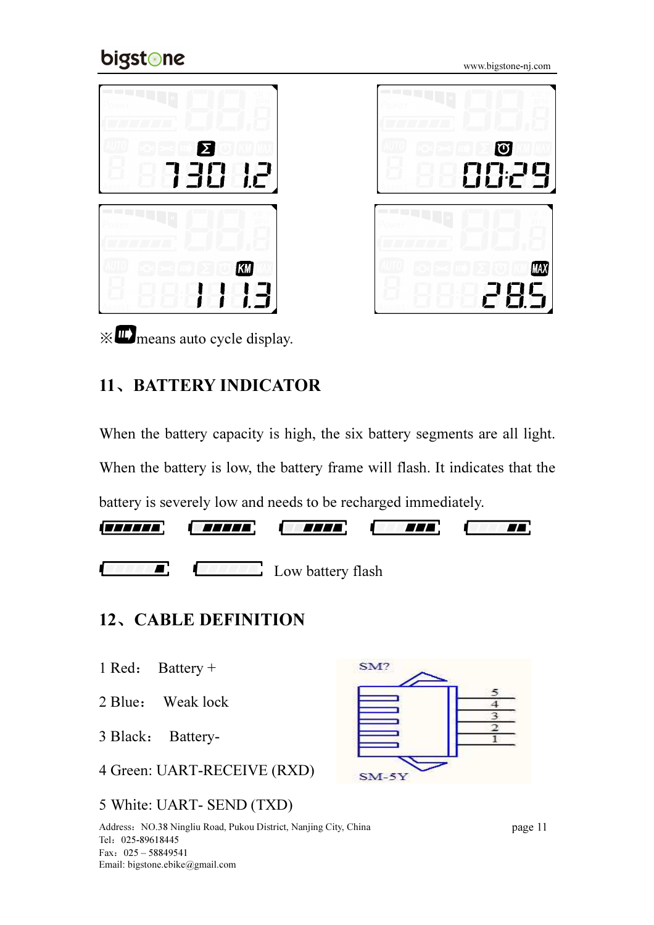## bigstone

www.bigstone-nj.com



※ means auto cycle display.

#### 11、BATTERY INDICATOR

When the battery capacity is high, the six battery segments are all light. When the battery is low, the battery frame will flash. It indicates that the battery is severely low and needs to be recharged immediately.  $\boldsymbol{\varPi}$ 

**TELL** 



**Low battery flash** Low battery flash

#### 12、CABLE DEFINITION

- 1 Red: Battery +
- 2 Blue: Weak lock

3 Black: Battery-

4 Green: UART-RECEIVE (RXD)

#### 5 White: UART- SEND (TXD)



TTT.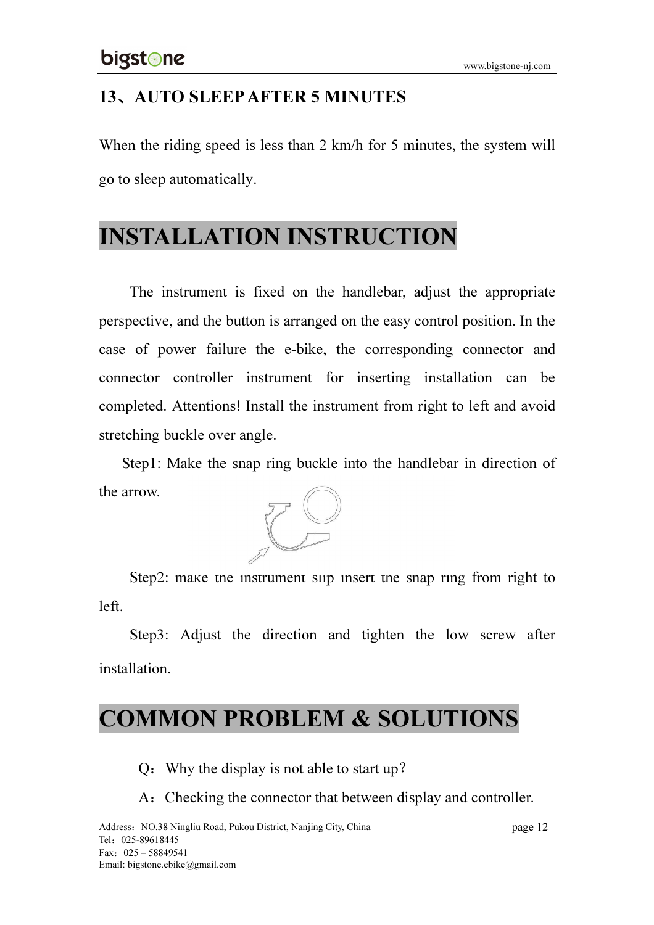#### 13、AUTO SLEEP AFTER 5 MINUTES

When the riding speed is less than 2 km/h for 5 minutes, the system will go to sleep automatically.

## INSTALLATION INSTRUCTION

The instrument is fixed on the handlebar, adjust the appropriate perspective, and the button is arranged on the easy control position. In the case of power failure the e-bike, the corresponding connector and connector controller instrument for inserting installation can be completed. Attentions! Install the instrument from right to left and avoid stretching buckle over angle.

Step1: Make the snap ring buckle into the handlebar in direction of the arrow.



Step2: make the instrument slip insert the snap ring from right to left.

Step3: Adjust the direction and tighten the low screw after installation.

## COMMON PROBLEM & SOLUTIONS

Q:Why the display is not able to start up?

A: Checking the connector that between display and controller.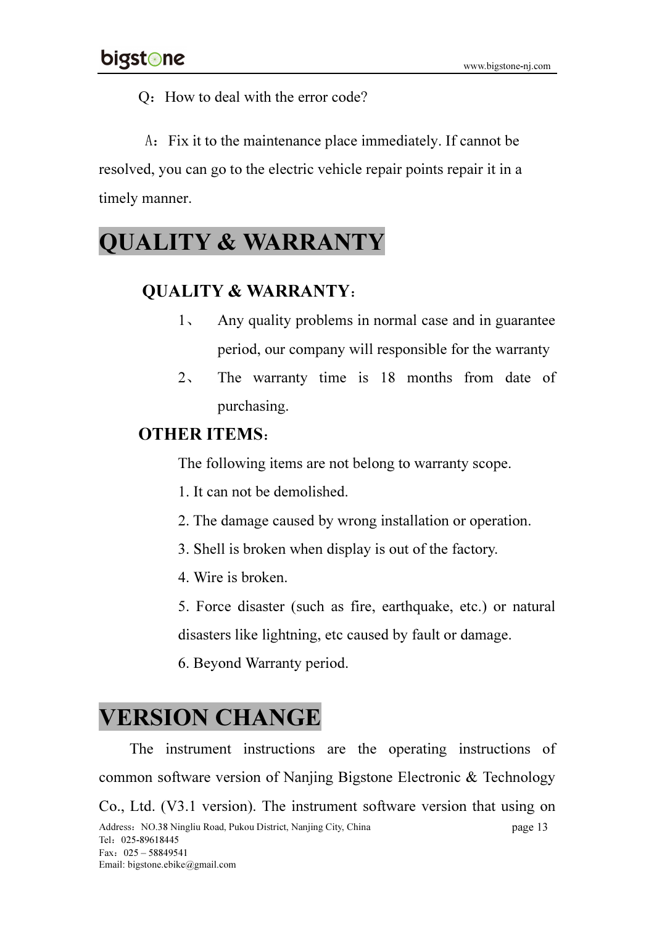Q: How to deal with the error code?

A: Fix it to the maintenance place immediately. If cannot be resolved, you can go to the electric vehicle repair points repair it in a timely manner.

## QUALITY & WARRANTY

#### QUALITY & WARRANTY:

- 1、 Any quality problems in normal case and in guarantee period, our company will responsible for the warranty
- 2、 The warranty time is 18 months from date of purchasing.

#### OTHER ITEMS:

The following items are not belong to warranty scope.

- 1. It can not be demolished.
- 2. The damage caused by wrong installation or operation.
- 3. Shell is broken when display is out of the factory.
- 4. Wire is broken.
- 5. Force disaster (such as fire, earthquake, etc.) or natural

disasters like lightning, etc caused by fault or damage.

6. Beyond Warranty period.

## VERSION CHANGE

Address: NO.38 Ningliu Road, Pukou District, Nanjing City, China Tel:025-89618445 Fax:025 – 58849541 Email: bigstone.ebike@gmail.com page 13 The instrument instructions are the operating instructions of common software version of Nanjing Bigstone Electronic & Technology Co., Ltd. (V3.1 version). The instrument software version that using on